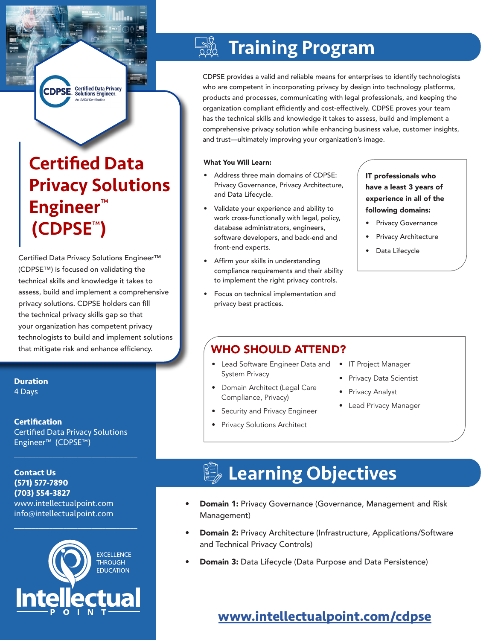**Certified Data Privacy<br>Solutions Engineer CDPSE** 

# Certified Data Privacy Solutions Engineer™ (CDPSE™)

Certified Data Privacy Solutions Engineer™ (CDPSE™) is focused on validating the technical skills and knowledge it takes to assess, build and implement a comprehensive privacy solutions. CDPSE holders can fill the technical privacy skills gap so that your organization has competent privacy technologists to build and implement solutions that mitigate risk and enhance efficiency.

## **Duration**

4 Days  $\mathcal{L}_\text{max}$  and  $\mathcal{L}_\text{max}$  and  $\mathcal{L}_\text{max}$  and  $\mathcal{L}_\text{max}$ 

### **Certification** Certified Data Privacy Solutions Engineer™ (CDPSE™)

 $\mathcal{L}_\text{max}$  and  $\mathcal{L}_\text{max}$  and  $\mathcal{L}_\text{max}$  and  $\mathcal{L}_\text{max}$ 

**Contact Us (571) 577-7890 (703) 554-3827** www.intellectualpoint.com info@intellectualpoint.com



 $\mathcal{L}_\text{max}$  and  $\mathcal{L}_\text{max}$  and  $\mathcal{L}_\text{max}$  and  $\mathcal{L}_\text{max}$ 

### $\frac{1}{2}$ Training Program

CDPSE provides a valid and reliable means for enterprises to identify technologists who are competent in incorporating privacy by design into technology platforms, products and processes, communicating with legal professionals, and keeping the organization compliant efficiently and cost-effectively. CDPSE proves your team has the technical skills and knowledge it takes to assess, build and implement a comprehensive privacy solution while enhancing business value, customer insights, and trust—ultimately improving your organization's image.

### What You Will Learn:

- Address three main domains of CDPSE: Privacy Governance, Privacy Architecture, and Data Lifecycle.
- Validate your experience and ability to work cross-functionally with legal, policy, database administrators, engineers, software developers, and back-end and front-end experts.
- Affirm your skills in understanding compliance requirements and their ability to implement the right privacy controls.
- Focus on technical implementation and privacy best practices.

### IT professionals who have a least 3 years of experience in all of the following domains:

- Privacy Governance
- Privacy Architecture
- Data Lifecycle

### WHO SHOULD ATTEND?

- Lead Software Engineer Data and System Privacy
- Domain Architect (Legal Care Compliance, Privacy)
- Security and Privacy Engineer
- Privacy Solutions Architect
- **IT Project Manager**
- Privacy Data Scientist
- Privacy Analyst
- Lead Privacy Manager

## Learning Objectives

- **Domain 1: Privacy Governance (Governance, Management and Risk** Management)
- Domain 2: Privacy Architecture (Infrastructure, Applications/Software and Technical Privacy Controls)
- **Domain 3:** Data Lifecycle (Data Purpose and Data Persistence)

## **[www.intellectualpoint.com/c](https://intellectualpoint.com/product/certified-data-privacy-solutions-engineer-cdpse/)dpse**